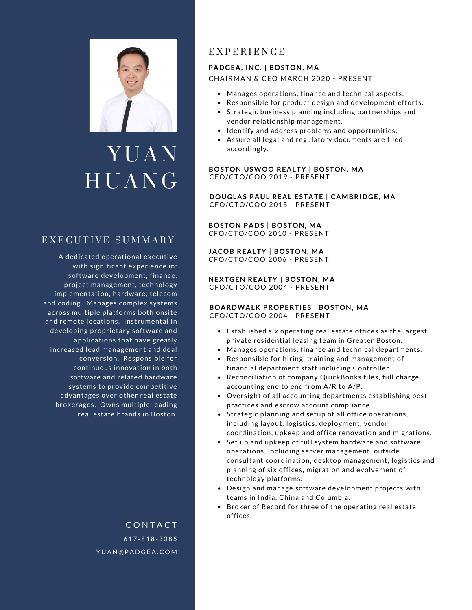

# Y U A N **HUANG**

# EXECUTIVE SUMMARY

A dedicated operational executive with significant experience in: software development, finance, project management, technology implementation, hardware, telecom and coding. Manages complex systems across multiple platforms both onsite and remote locations. Instrumental in developing proprietary software and applications that have greatly increased lead management and deal conversion. Responsible for continuous innovation in both software and related hardware systems to provide competitive advantages over other real estate brokerages. Owns multiple leading real estate brands in Boston.

> 6 1 7 - 8 1 8 - 3 0 8 5 YUAN@PADGEA.COM **CONTACT**

# E X P E R I E N C E

### **PADGEA, INC. | BOSTON, MA** CHAIRMAN & CEO MARCH 2020 - PRESENT

- Manages operations, finance and technical aspects.
- Responsible for product design and development efforts.
- Strategic business planning including partnerships and vendor relationship management.
- Identify and address problems and opportunities.
- Assure all legal and regulatory documents are filed accordingly.

**BOSTON USWOO REALTY | BOSTON, MA** CFO/CTO/COO 2019 - PRESENT

**DOUGLAS PAUL REAL ESTATE | CAMBRIDGE, MA** CFO/CTO/COO 2015 - PRESENT

**BOSTON PADS | BOSTON, MA** CFO/CTO/COO 2010 - PRESENT

**JACOB REALTY | BOSTON, MA** CFO/CTO/COO 2006 - PRESENT

**NEXTGEN REALTY | BOSTON, MA** CFO/CTO/COO 2004 - PRESENT

#### **BOARDWALK PROPERTIES | BOSTON, MA** CFO/CTO/COO 2004 - PRESENT

- Established six operating real estate offices as the largest private residential leasing team in Greater Boston.
- Manages operations, finance and technical departments.
- Responsible for hiring, training and management of financial department staff including Controller.
- Reconciliation of company QuickBooks files, full charge accounting end to end from A/R to A/P.
- Oversight of all accounting departments establishing best practices and escrow account compliance.
- Strategic planning and setup of all office operations, including layout, logistics, deployment, vendor coordination, upkeep and office renovation and migrations.
- Set up and upkeep of full system hardware and software operations, including server management, outside consultant coordination, desktop management, logistics and planning of six offices, migration and evolvement of technology platforms.
- Design and manage software development projects with teams in India, China and Columbia.
- Broker of Record for three of the operating real estate offices.